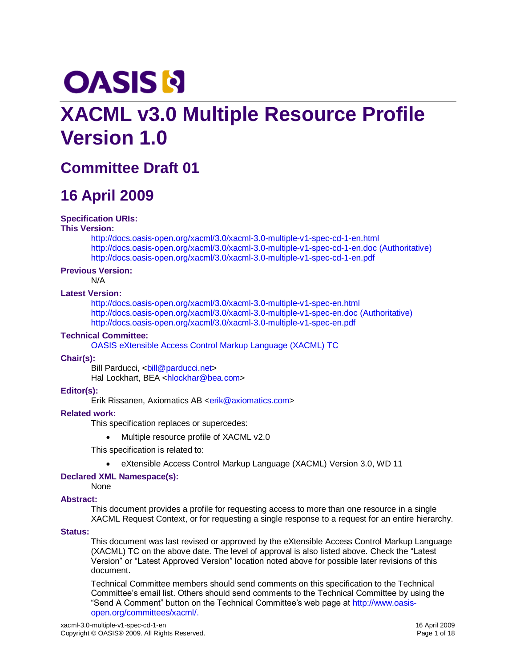# **OASIS N**

# **XACML v3.0 Multiple Resource Profile Version 1.0**

# **Committee Draft 01**

# **16 April 2009**

#### **Specification URIs:**

#### **This Version:**

<http://docs.oasis-open.org/xacml/3.0/xacml-3.0-multiple-v1-spec-cd-1-en.html> <http://docs.oasis-open.org/xacml/3.0/xacml-3.0-multiple-v1-spec-cd-1-en.doc> (Authoritative) <http://docs.oasis-open.org/xacml/3.0/xacml-3.0-multiple-v1-spec-cd-1-en.pdf>

#### **Previous Version:**

N/A

#### **Latest Version:**

<http://docs.oasis-open.org/xacml/3.0/xacml-3.0-multiple-v1-spec-en.html> <http://docs.oasis-open.org/xacml/3.0/xacml-3.0-multiple-v1-spec-en.doc> (Authoritative) <http://docs.oasis-open.org/xacml/3.0/xacml-3.0-multiple-v1-spec-en.pdf>

#### **Technical Committee:**

[OASIS eXtensible Access Control Markup Language \(XACML\)](http://www.oasis-open.org/committees/tc_home.php?wg_abbrev=xacml) TC

#### **Chair(s):**

Bill Parducci, <ball@parducci.net> Hal Lockhart, BEA [<hlockhar@bea.com>](mailto:hlockhar@bea.com)

#### **Editor(s):**

Erik Rissanen, Axiomatics AB [<erik@axiomatics.com>](mailto:erik@axiomatics.com)

#### **Related work:**

This specification replaces or supercedes:

Multiple resource profile of XACML v2.0

This specification is related to:

eXtensible Access Control Markup Language (XACML) Version 3.0, WD 11

#### **Declared XML Namespace(s):**

None

#### **Abstract:**

This document provides a profile for requesting access to more than one resource in a single XACML Request Context, or for requesting a single response to a request for an entire hierarchy.

#### **Status:**

This document was last revised or approved by the eXtensible Access Control Markup Language (XACML) TC on the above date. The level of approval is also listed above. Check the "Latest Version" or "Latest Approved Version" location noted above for possible later revisions of this document.

Technical Committee members should send comments on this specification to the Technical Committee's email list. Others should send comments to the Technical Committee by using the "Send A Comment" button on the Technical Committee's web page at [http://www.oasis](http://www.oasis-open.org/committees/xacml/)[open.org/committees/xacml/.](http://www.oasis-open.org/committees/xacml/)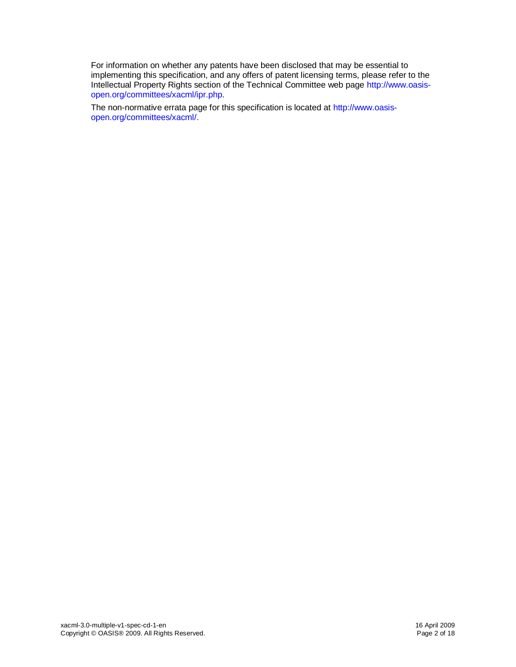For information on whether any patents have been disclosed that may be essential to implementing this specification, and any offers of patent licensing terms, please refer to the Intellectual Property Rights section of the Technical Committee web page [http://www.oasis](http://www.oasis-open.org/committees/xacml/ipr.php)[open.org/committees/xacml/ipr.php.](http://www.oasis-open.org/committees/xacml/ipr.php)

The non-normative errata page for this specification is located at [http://www.oasis](http://www.oasis-open.org/committees/xacml/)[open.org/committees/xacml/.](http://www.oasis-open.org/committees/xacml/)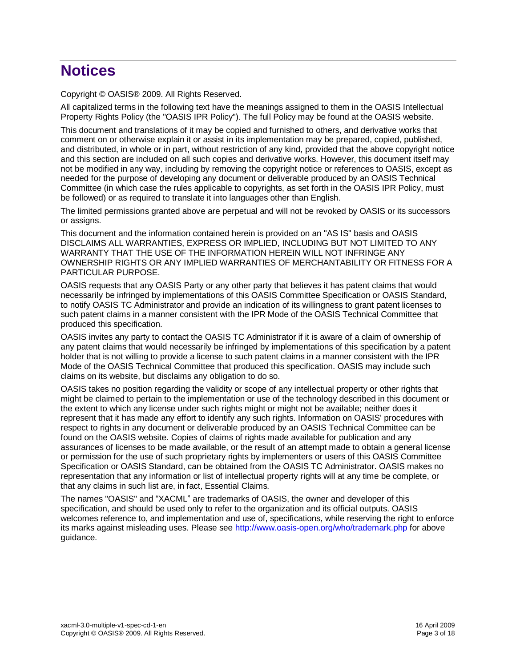# **Notices**

Copyright © OASIS® 2009. All Rights Reserved.

All capitalized terms in the following text have the meanings assigned to them in the OASIS Intellectual Property Rights Policy (the "OASIS IPR Policy"). The full Policy may be found at the OASIS website.

This document and translations of it may be copied and furnished to others, and derivative works that comment on or otherwise explain it or assist in its implementation may be prepared, copied, published, and distributed, in whole or in part, without restriction of any kind, provided that the above copyright notice and this section are included on all such copies and derivative works. However, this document itself may not be modified in any way, including by removing the copyright notice or references to OASIS, except as needed for the purpose of developing any document or deliverable produced by an OASIS Technical Committee (in which case the rules applicable to copyrights, as set forth in the OASIS IPR Policy, must be followed) or as required to translate it into languages other than English.

The limited permissions granted above are perpetual and will not be revoked by OASIS or its successors or assigns.

This document and the information contained herein is provided on an "AS IS" basis and OASIS DISCLAIMS ALL WARRANTIES, EXPRESS OR IMPLIED, INCLUDING BUT NOT LIMITED TO ANY WARRANTY THAT THE USE OF THE INFORMATION HEREIN WILL NOT INFRINGE ANY OWNERSHIP RIGHTS OR ANY IMPLIED WARRANTIES OF MERCHANTABILITY OR FITNESS FOR A PARTICULAR PURPOSE.

OASIS requests that any OASIS Party or any other party that believes it has patent claims that would necessarily be infringed by implementations of this OASIS Committee Specification or OASIS Standard, to notify OASIS TC Administrator and provide an indication of its willingness to grant patent licenses to such patent claims in a manner consistent with the IPR Mode of the OASIS Technical Committee that produced this specification.

OASIS invites any party to contact the OASIS TC Administrator if it is aware of a claim of ownership of any patent claims that would necessarily be infringed by implementations of this specification by a patent holder that is not willing to provide a license to such patent claims in a manner consistent with the IPR Mode of the OASIS Technical Committee that produced this specification. OASIS may include such claims on its website, but disclaims any obligation to do so.

OASIS takes no position regarding the validity or scope of any intellectual property or other rights that might be claimed to pertain to the implementation or use of the technology described in this document or the extent to which any license under such rights might or might not be available; neither does it represent that it has made any effort to identify any such rights. Information on OASIS' procedures with respect to rights in any document or deliverable produced by an OASIS Technical Committee can be found on the OASIS website. Copies of claims of rights made available for publication and any assurances of licenses to be made available, or the result of an attempt made to obtain a general license or permission for the use of such proprietary rights by implementers or users of this OASIS Committee Specification or OASIS Standard, can be obtained from the OASIS TC Administrator. OASIS makes no representation that any information or list of intellectual property rights will at any time be complete, or that any claims in such list are, in fact, Essential Claims.

The names "OASIS" and "XACML" are trademarks of OASIS, the owner and developer of this specification, and should be used only to refer to the organization and its official outputs. OASIS welcomes reference to, and implementation and use of, specifications, while reserving the right to enforce its marks against misleading uses. Please see<http://www.oasis-open.org/who/trademark.php> for above guidance.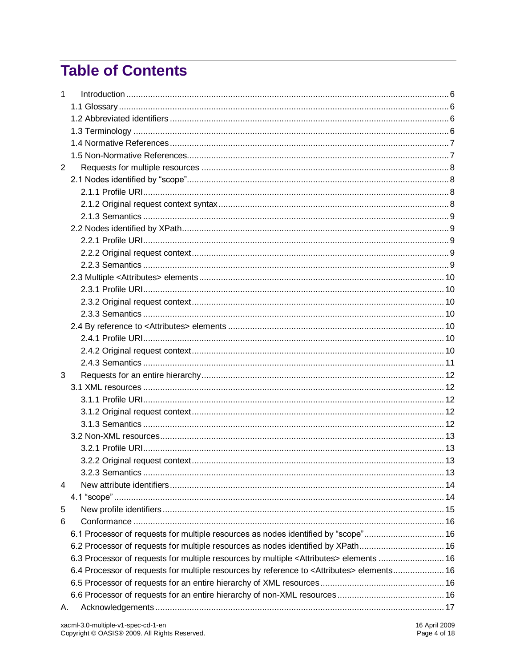# **Table of Contents**

| 1              |                                                                                                        |  |
|----------------|--------------------------------------------------------------------------------------------------------|--|
|                |                                                                                                        |  |
|                |                                                                                                        |  |
|                |                                                                                                        |  |
|                |                                                                                                        |  |
|                |                                                                                                        |  |
| $\overline{2}$ |                                                                                                        |  |
|                |                                                                                                        |  |
|                |                                                                                                        |  |
|                |                                                                                                        |  |
|                |                                                                                                        |  |
|                |                                                                                                        |  |
|                |                                                                                                        |  |
|                |                                                                                                        |  |
|                |                                                                                                        |  |
|                |                                                                                                        |  |
|                |                                                                                                        |  |
|                |                                                                                                        |  |
|                |                                                                                                        |  |
|                |                                                                                                        |  |
|                |                                                                                                        |  |
|                |                                                                                                        |  |
|                |                                                                                                        |  |
| 3              |                                                                                                        |  |
|                |                                                                                                        |  |
|                |                                                                                                        |  |
|                |                                                                                                        |  |
|                |                                                                                                        |  |
|                |                                                                                                        |  |
|                |                                                                                                        |  |
|                |                                                                                                        |  |
|                |                                                                                                        |  |
| 4              |                                                                                                        |  |
|                |                                                                                                        |  |
| 5              |                                                                                                        |  |
| 6              |                                                                                                        |  |
|                | 6.1 Processor of requests for multiple resources as nodes identified by "scope" 16                     |  |
|                | 6.2 Processor of requests for multiple resources as nodes identified by XPath 16                       |  |
|                | 6.3 Processor of requests for multiple resources by multiple <attributes> elements  16</attributes>    |  |
|                | 6.4 Processor of requests for multiple resources by reference to <attributes> elements 16</attributes> |  |
|                |                                                                                                        |  |
|                |                                                                                                        |  |
| А.             |                                                                                                        |  |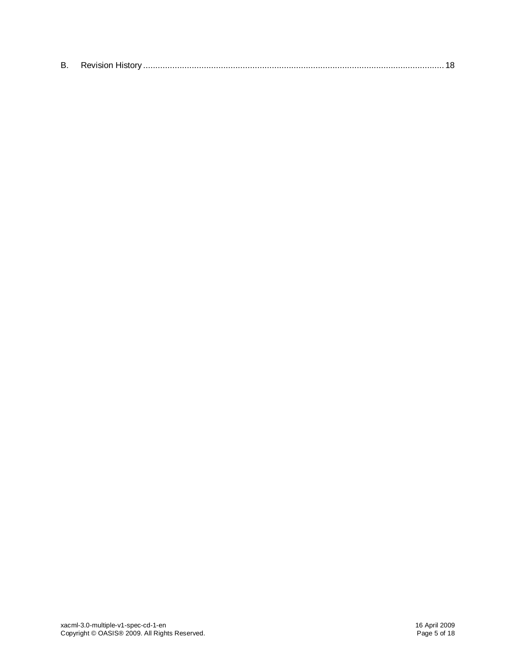| -<br>в |  |
|--------|--|
|--------|--|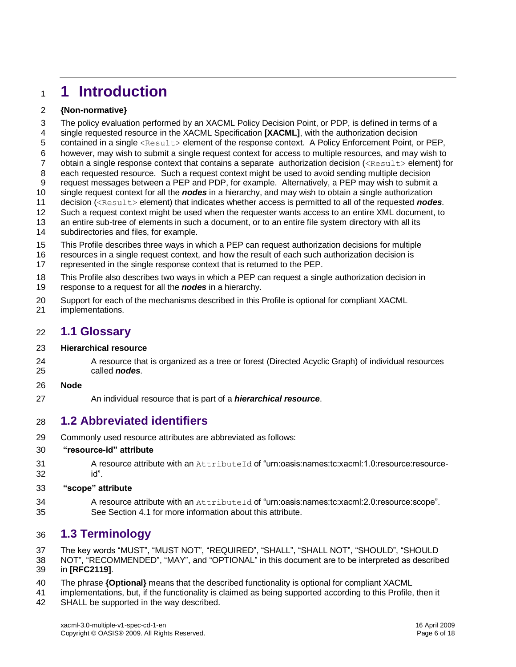# <span id="page-5-0"></span>**1 Introduction**

#### **{Non-normative}**

 The policy evaluation performed by an XACML Policy Decision Point, or PDP, is defined in terms of a single requested resource in the XACML Specification **[\[XACML\]](#page-6-2)**, with the authorization decision 5 contained in a single <Result> element of the response context. A Policy Enforcement Point, or PEP, however, may wish to submit a single request context for access to multiple resources, and may wish to 7 obtain a single response context that contains a separate authorization decision (<Result> element) for each requested resource. Such a request context might be used to avoid sending multiple decision request messages between a PEP and PDP, for example. Alternatively, a PEP may wish to submit a single request context for all the *nodes* in a hierarchy, and may wish to obtain a single authorization decision (<Result> element) that indicates whether access is permitted to all of the requested *nodes*. Such a request context might be used when the requester wants access to an entire XML document, to an entire sub-tree of elements in such a document, or to an entire file system directory with all its subdirectories and files, for example.

- This Profile describes three ways in which a PEP can request authorization decisions for multiple
- resources in a single request context, and how the result of each such authorization decision is represented in the single response context that is returned to the PEP.
- 

 This Profile also describes two ways in which a PEP can request a single authorization decision in response to a request for all the *nodes* in a hierarchy.

- Support for each of the mechanisms described in this Profile is optional for compliant XACML
- implementations.

#### <span id="page-5-1"></span>**1.1 Glossary**

#### **Hierarchical resource**

24 A resource that is organized as a tree or forest (Directed Acyclic Graph) of individual resources called *nodes*.

#### **Node**

An individual resource that is part of a *hierarchical resource*.

### <span id="page-5-2"></span>**1.2 Abbreviated identifiers**

Commonly used resource attributes are abbreviated as follows:

#### **"resource-id" attribute**

31 A resource attribute with an AttributeId of "urn:oasis:names:tc:xacml:1.0:resource:resource-id".

#### **"scope" attribute**

 A resource attribute with an AttributeId of "urn:oasis:names:tc:xacml:2.0:resource:scope". See Section [4.1](#page-13-1) for more information about this attribute.

# <span id="page-5-3"></span>**1.3 Terminology**

The key words "MUST", "MUST NOT", "REQUIRED", "SHALL", "SHALL NOT", "SHOULD", "SHOULD

 NOT", "RECOMMENDED", "MAY", and "OPTIONAL" in this document are to be interpreted as described in **[\[RFC2119\]](#page-6-3)**.

- The phrase **{Optional}** means that the described functionality is optional for compliant XACML
- implementations, but, if the functionality is claimed as being supported according to this Profile, then it
- SHALL be supported in the way described.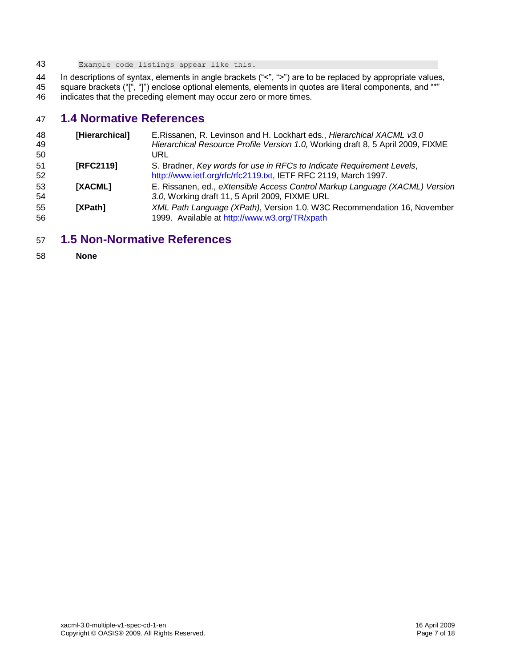Example code listings appear like this.

 In descriptions of syntax, elements in angle brackets ("<", ">") are to be replaced by appropriate values, square brackets ("[", "]") enclose optional elements, elements in quotes are literal components, and "\*"

indicates that the preceding element may occur zero or more times.

# <span id="page-6-0"></span>**1.4 Normative References**

<span id="page-6-4"></span><span id="page-6-3"></span>

| 48<br>49<br>50 | [Hierarchical] | E. Rissanen, R. Levinson and H. Lockhart eds., Hierarchical XACML v3.0<br>Hierarchical Resource Profile Version 1.0, Working draft 8, 5 April 2009, FIXME<br>URL |
|----------------|----------------|------------------------------------------------------------------------------------------------------------------------------------------------------------------|
| 51<br>52       | [RFC2119]      | S. Bradner, Key words for use in RFCs to Indicate Requirement Levels,<br>http://www.ietf.org/rfc/rfc2119.txt, IETF RFC 2119, March 1997.                         |
| 53<br>54       | <b>IXACML1</b> | E. Rissanen, ed., eXtensible Access Control Markup Language (XACML) Version<br>3.0, Working draft 11, 5 April 2009, FIXME URL                                    |
| 55<br>56       | <b>IXPath1</b> | XML Path Language (XPath), Version 1.0, W3C Recommendation 16, November<br>1999. Available at http://www.w3.org/TR/xpath                                         |

### <span id="page-6-5"></span><span id="page-6-2"></span><span id="page-6-1"></span>**1.5 Non-Normative References**

**None**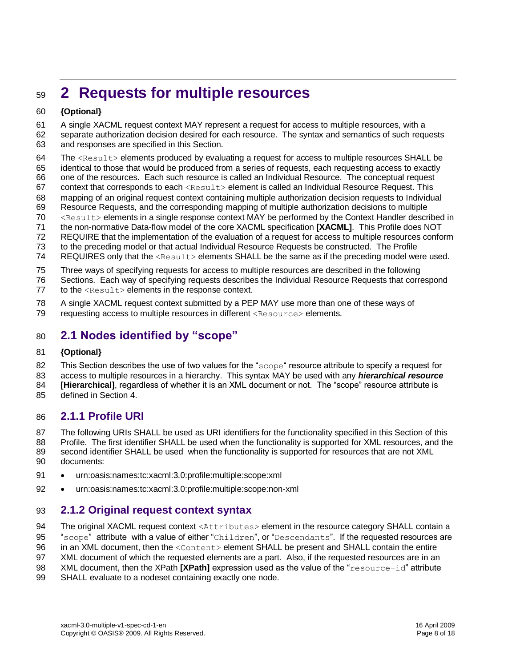# <span id="page-7-0"></span>**2 Requests for multiple resources**

#### **{Optional}**

A single XACML request context MAY represent a request for access to multiple resources, with a

- separate authorization decision desired for each resource. The syntax and semantics of such requests and responses are specified in this Section.
- 64 The  $\leq$ Result> elements produced by evaluating a request for access to multiple resources SHALL be
- identical to those that would be produced from a series of requests, each requesting access to exactly
- one of the resources. Each such resource is called an Individual Resource. The conceptual request
- 67 context that corresponds to each  $\leq$ Result> element is called an Individual Resource Request. This mapping of an original request context containing multiple authorization decision requests to Individual
- Resource Requests, and the corresponding mapping of multiple authorization decisions to multiple
- <Result> elements in a single response context MAY be performed by the Context Handler described in
- the non-normative Data-flow model of the core XACML specification **[\[XACML\]](#page-6-2)**. This Profile does NOT
- REQUIRE that the implementation of the evaluation of a request for access to multiple resources conform
- to the preceding model or that actual Individual Resource Requests be constructed. The Profile
- 74 REQUIRES only that the <Result> elements SHALL be the same as if the preceding model were used.
- Three ways of specifying requests for access to multiple resources are described in the following
- Sections. Each way of specifying requests describes the Individual Resource Requests that correspond
- 77 to the  $\langle$ Result> elements in the response context.
- A single XACML request context submitted by a PEP MAY use more than one of these ways of
- 79 requesting access to multiple resources in different <Resource> elements.

# <span id="page-7-1"></span>**2.1 Nodes identified by "scope"**

#### **{Optional}**

82 This Section describes the use of two values for the "scope" resource attribute to specify a request for

- access to multiple resources in a hierarchy. This syntax MAY be used with any *hierarchical resource*
- **[\[Hierarchical\]](#page-6-4)**, regardless of whether it is an XML document or not. The "scope" resource attribute is defined in Section [4.](#page-13-0)
- 

### <span id="page-7-2"></span>**2.1.1 Profile URI**

The following URIs SHALL be used as URI identifiers for the functionality specified in this Section of this

- Profile. The first identifier SHALL be used when the functionality is supported for XML resources, and the
- 89 second identifier SHALL be used when the functionality is supported for resources that are not XML documents:
- urn:oasis:names:tc:xacml:3.0:profile:multiple:scope:xml
- urn:oasis:names:tc:xacml:3.0:profile:multiple:scope:non-xml

### <span id="page-7-3"></span>**2.1.2 Original request context syntax**

94 The original XACML request context <Attributes> element in the resource category SHALL contain a

- 95 "scope" attribute with a value of either "Children", or "Descendants". If the requested resources are
- 96 in an XML document, then the <Content> element SHALL be present and SHALL contain the entire
- XML document of which the requested elements are a part. Also, if the requested resources are in an
- XML document, then the XPath **[\[XPath\]](#page-6-5)** expression used as the value of the "resource-id" attribute
- SHALL evaluate to a nodeset containing exactly one node.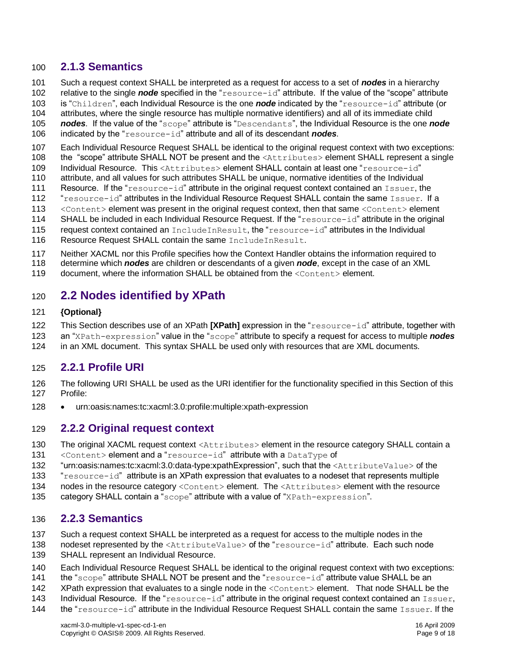#### <span id="page-8-0"></span>**2.1.3 Semantics**

- Such a request context SHALL be interpreted as a request for access to a set of *nodes* in a hierarchy
- relative to the single *node* specified in the "resource-id" attribute. If the value of the "scope" attribute
- is "Children", each Individual Resource is the one *node* indicated by the "resource-id" attribute (or
- attributes, where the single resource has multiple normative identifiers) and all of its immediate child
- *nodes*. If the value of the "scope" attribute is "Descendants", the Individual Resource is the one *node*
- indicated by the "resource-id" attribute and all of its descendant *nodes*.
- Each Individual Resource Request SHALL be identical to the original request context with two exceptions:
- 108 the "scope" attribute SHALL NOT be present and the <Attributes> element SHALL represent a single
- Individual Resource. This <Attributes> element SHALL contain at least one "resource-id"
- attribute, and all values for such attributes SHALL be unique, normative identities of the Individual
- Resource. If the "resource-id" attribute in the original request context contained an Issuer, the
- 112 "resource-id" attributes in the Individual Resource Request SHALL contain the same Issuer. If a
- 113 <Content> element was present in the original request context, then that same <Content> element
- 114 SHALL be included in each Individual Resource Request. If the "resource-id" attribute in the original
- 115 request context contained an IncludeInResult, the "resource-id" attributes in the Individual
- 116 Resource Request SHALL contain the same IncludeInResult.
- Neither XACML nor this Profile specifies how the Context Handler obtains the information required to
- determine which *nodes* are children or descendants of a given *node*, except in the case of an XML
- 119 document, where the information SHALL be obtained from the <Content> element.

### <span id="page-8-1"></span>**2.2 Nodes identified by XPath**

#### **{Optional}**

- This Section describes use of an XPath **[\[XPath\]](#page-6-5)** expression in the "resource-id" attribute, together with
- an "XPath-expression" value in the "scope" attribute to specify a request for access to multiple *nodes*
- in an XML document. This syntax SHALL be used only with resources that are XML documents.

#### <span id="page-8-2"></span>**2.2.1 Profile URI**

- The following URI SHALL be used as the URI identifier for the functionality specified in this Section of this Profile:
- 128 urn:oasis:names:tc:xacml:3.0:profile:multiple:xpath-expression

#### <span id="page-8-3"></span>**2.2.2 Original request context**

- 130 The original XACML request context <Attributes> element in the resource category SHALL contain a
- <Content> element and a "resource-id" attribute with a DataType of
- "urn:oasis:names:tc:xacml:3.0:data-type:xpathExpression", such that the <AttributeValue> of the
- "resource-id" attribute is an XPath expression that evaluates to a nodeset that represents multiple
- 134 nodes in the resource category <Content> element. The <Attributes> element with the resource
- 135 category SHALL contain a "scope" attribute with a value of "XPath-expression".

# <span id="page-8-4"></span>**2.2.3 Semantics**

- Such a request context SHALL be interpreted as a request for access to the multiple nodes in the
- 138 nodeset represented by the <AttributeValue> of the "resource-id" attribute. Each such node
- SHALL represent an Individual Resource.
- Each Individual Resource Request SHALL be identical to the original request context with two exceptions:
- 141 the "scope" attribute SHALL NOT be present and the "resource-id" attribute value SHALL be an
- 142 XPath expression that evaluates to a single node in the <Content> element. That node SHALL be the
- 143 Individual Resource. If the "resource-id" attribute in the original request context contained an Issuer,
- the "resource-id" attribute in the Individual Resource Request SHALL contain the same Issuer. If the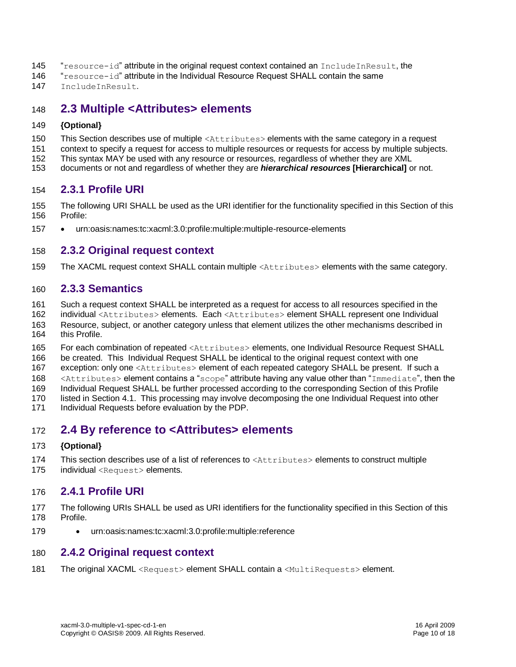- 145 "resource-id" attribute in the original request context contained an IncludeInResult, the
- "resource-id" attribute in the Individual Resource Request SHALL contain the same
- IncludeInResult.

### <span id="page-9-0"></span>**2.3 Multiple <Attributes> elements**

#### **{Optional}**

- 150 This Section describes use of multiple <Attributes> elements with the same category in a request
- context to specify a request for access to multiple resources or requests for access by multiple subjects.
- This syntax MAY be used with any resource or resources, regardless of whether they are XML
- documents or not and regardless of whether they are *hierarchical resources* **[\[Hierarchical\]](#page-6-4)** or not.

#### <span id="page-9-1"></span>**2.3.1 Profile URI**

- The following URI SHALL be used as the URI identifier for the functionality specified in this Section of this Profile:
- 157 · urn:oasis:names:tc:xacml:3.0:profile:multiple:multiple-resource-elements

#### <span id="page-9-2"></span>**2.3.2 Original request context**

159 The XACML request context SHALL contain multiple <Attributes> elements with the same category.

#### <span id="page-9-3"></span>**2.3.3 Semantics**

- Such a request context SHALL be interpreted as a request for access to all resources specified in the
- individual <Attributes> elements. Each <Attributes> element SHALL represent one Individual
- Resource, subject, or another category unless that element utilizes the other mechanisms described in this Profile.
- For each combination of repeated <Attributes> elements, one Individual Resource Request SHALL
- be created. This Individual Request SHALL be identical to the original request context with one
- 167 exception: only one <Attributes> element of each repeated category SHALL be present. If such a
- 168 <Attributes> element contains a "scope" attribute having any value other than "Immediate", then the
- Individual Request SHALL be further processed according to the corresponding Section of this Profile
- listed in Section [4.1.](#page-13-1) This processing may involve decomposing the one Individual Request into other
- Individual Requests before evaluation by the PDP.

### <span id="page-9-4"></span>**2.4 By reference to <Attributes> elements**

#### **{Optional}**

 This section describes use of a list of references to <Attributes> elements to construct multiple 175 individual <Request> elements.

# <span id="page-9-5"></span>**2.4.1 Profile URI**

- The following URIs SHALL be used as URI identifiers for the functionality specified in this Section of this Profile.
- **·** urn:oasis:names:tc:xacml:3.0:profile:multiple:reference

#### <span id="page-9-6"></span>**2.4.2 Original request context**

181 The original XACML <Request> element SHALL contain a <MultiRequests> element.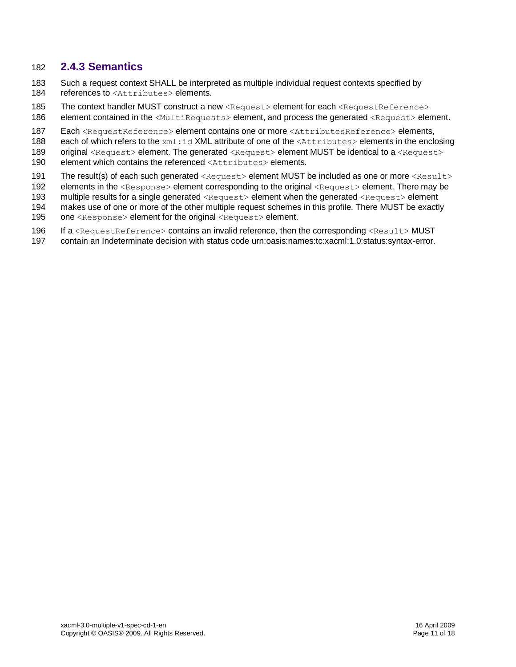#### <span id="page-10-0"></span>182 **2.4.3 Semantics**

- 183 Such a request context SHALL be interpreted as multiple individual request contexts specified by 184 references to <Attributes> elements.
- 185 The context handler MUST construct a new <Request> element for each <RequestReference> 186 element contained in the <MultiRequests> element, and process the generated <Request> element.
- 187 Each <RequestReference> element contains one or more <AttributesReference> elements,
- 188 each of which refers to the xml:id XML attribute of one of the <Attributes> elements in the enclosing
- 189 original <Request> element. The generated <Request> element MUST be identical to a <Request>
- 190 element which contains the referenced <Attributes> elements.
- 191 The result(s) of each such generated <Request> element MUST be included as one or more <Result>
- 192 elements in the <Response> element corresponding to the original <Request> element. There may be
- 193 multiple results for a single generated <Request> element when the generated <Request> element
- 194 makes use of one or more of the other multiple request schemes in this profile. There MUST be exactly
- 195 one <Response> element for the original <Request> element.
- 196 If a <RequestReference> contains an invalid reference, then the corresponding <Result>MUST
- 197 contain an Indeterminate decision with status code urn:oasis:names:tc:xacml:1.0:status:syntax-error.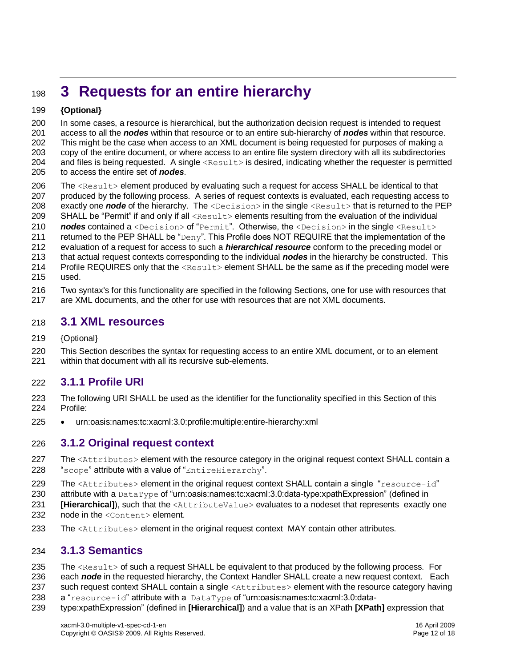# <span id="page-11-0"></span>**3 Requests for an entire hierarchy**

#### **{Optional}**

 In some cases, a resource is hierarchical, but the authorization decision request is intended to request access to all the *nodes* within that resource or to an entire sub-hierarchy of *nodes* within that resource. This might be the case when access to an XML document is being requested for purposes of making a copy of the entire document, or where access to an entire file system directory with all its subdirectories and files is being requested. A single <Result> is desired, indicating whether the requester is permitted to access the entire set of *nodes*.

- 206 The <Result> element produced by evaluating such a request for access SHALL be identical to that produced by the following process. A series of request contexts is evaluated, each requesting access to 208 exactly one **node** of the hierarchy. The <Decision> in the single <Result> that is returned to the PEP SHALL be "Permit" if and only if all <Result> elements resulting from the evaluation of the individual
- **nodes** contained a <Decision> of "Permit". Otherwise, the <Decision> in the single <Result>
- 211 returned to the PEP SHALL be "Deny". This Profile does NOT REQUIRE that the implementation of the
- evaluation of a request for access to such a *hierarchical resource* conform to the preceding model or
- that actual request contexts corresponding to the individual *nodes* in the hierarchy be constructed. This
- 214 Profile REQUIRES only that the  $\leq$ Result> element SHALL be the same as if the preceding model were
- used.
- Two syntax's for this functionality are specified in the following Sections, one for use with resources that
- are XML documents, and the other for use with resources that are not XML documents.

### <span id="page-11-1"></span>**3.1 XML resources**

- {Optional}
- This Section describes the syntax for requesting access to an entire XML document, or to an element within that document with all its recursive sub-elements.

### <span id="page-11-2"></span>**3.1.1 Profile URI**

- The following URI SHALL be used as the identifier for the functionality specified in this Section of this Profile:
- urn:oasis:names:tc:xacml:3.0:profile:multiple:entire-hierarchy:xml

#### <span id="page-11-3"></span>**3.1.2 Original request context**

- 227 The <Attributes> element with the resource category in the original request context SHALL contain a 228 "scope" attribute with a value of "EntireHierarchy".
- 229 The <Attributes> element in the original request context SHALL contain a single "resource-id"
- attribute with a DataType of "urn:oasis:names:tc:xacml:3.0:data-type:xpathExpression" (defined in
- **[\[Hierarchical\]](#page-6-4)**), such that the <AttributeValue> evaluates to a nodeset that represents exactly one
- 232 node in the <Content> element.
- 233 The <Attributes> element in the original request context MAY contain other attributes.

### <span id="page-11-4"></span>**3.1.3 Semantics**

- 235 The  $\leq$ Result> of such a request SHALL be equivalent to that produced by the following process. For
- each *node* in the requested hierarchy, the Context Handler SHALL create a new request context. Each
- 237 such request context SHALL contain a single <Attributes> element with the resource category having
- 238 a "resource-id" attribute with a DataType of "urn:oasis:names:tc:xacml:3.0:data-
- type:xpathExpression" (defined in **[\[Hierarchical\]](#page-6-4)**) and a value that is an XPath **[\[XPath\]](#page-6-5)** expression that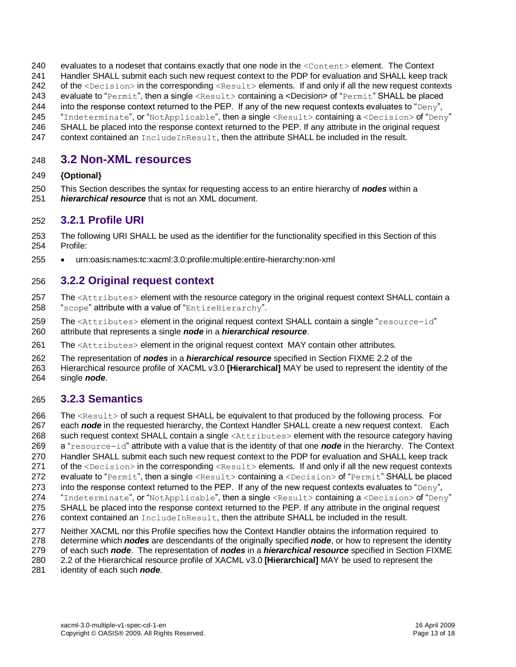- 240 evaluates to a nodeset that contains exactly that one node in the <Content> element. The Context
- Handler SHALL submit each such new request context to the PDP for evaluation and SHALL keep track
- 242 of the <Decision> in the corresponding <Result> elements. If and only if all the new request contexts
- evaluate to "Permit", then a single <Result> containing a <Decision> of "Permit" SHALL be placed
- 244 into the response context returned to the PEP. If any of the new request contexts evaluates to "Deny",
- "Indeterminate", or "NotApplicable", then a single <Result> containing a <Decision> of "Deny"
- SHALL be placed into the response context returned to the PEP. If any attribute in the original request context contained an IncludeInResult, then the attribute SHALL be included in the result.

# <span id="page-12-0"></span>**3.2 Non-XML resources**

#### **{Optional}**

- This Section describes the syntax for requesting access to an entire hierarchy of *nodes* within a
- *hierarchical resource* that is not an XML document.

#### <span id="page-12-1"></span>**3.2.1 Profile URI**

- The following URI SHALL be used as the identifier for the functionality specified in this Section of this Profile:
- urn:oasis:names:tc:xacml:3.0:profile:multiple:entire-hierarchy:non-xml

### <span id="page-12-2"></span>**3.2.2 Original request context**

- 257 The <Attributes> element with the resource category in the original request context SHALL contain a 258 "scope" attribute with a value of "EntireHierarchy".
- 259 The <Attributes> element in the original request context SHALL contain a single "resource-id" attribute that represents a single *node* in a *hierarchical resource*.
- 261 The <Attributes> element in the original request context MAY contain other attributes.
- The representation of *nodes* in a *hierarchical resource* specified in Section FIXME 2.2 of the
- Hierarchical resource profile of XACML v3.0 **[\[Hierarchical\]](#page-6-4)** MAY be used to represent the identity of the
- single *node*.

### <span id="page-12-3"></span>**3.2.3 Semantics**

- 266 The <Result> of such a request SHALL be equivalent to that produced by the following process. For
- each *node* in the requested hierarchy, the Context Handler SHALL create a new request context. Each
- such request context SHALL contain a single <Attributes> element with the resource category having
- a "resource-id" attribute with a value that is the identity of that one *node* in the hierarchy. The Context
- Handler SHALL submit each such new request context to the PDP for evaluation and SHALL keep track
- 271 of the <Decision> in the corresponding <Result> elements. If and only if all the new request contexts
- 272 evaluate to "Permit", then a single <Result> containing a <Decision> of "Permit" SHALL be placed
- 273 into the response context returned to the PEP. If any of the new request contexts evaluates to " $Deny$ ",
- 274 "Indeterminate", or "NotApplicable", then a single <Result> containing a <Decision> of "Deny"
- SHALL be placed into the response context returned to the PEP. If any attribute in the original request
- 276 context contained an  $IncludeInResult$ , then the attribute SHALL be included in the result.
- Neither XACML nor this Profile specifies how the Context Handler obtains the information required to
- determine which *nodes* are descendants of the originally specified *node*, or how to represent the identity
- of each such *node*. The representation of *nodes* in a *hierarchical resource* specified in Section FIXME
- 2.2 of the Hierarchical resource profile of XACML v3.0 **[\[Hierarchical\]](#page-6-4)** MAY be used to represent the
- identity of each such *node*.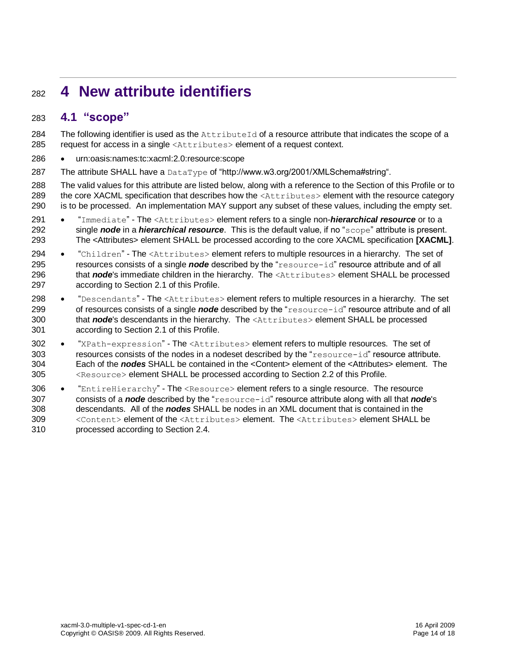# <span id="page-13-0"></span>**4 New attribute identifiers**

### <span id="page-13-1"></span>**4.1 "scope"**

284 The following identifier is used as the AttributeId of a resource attribute that indicates the scope of a request for access in a single <Attributes> element of a request context.

- urn:oasis:names:tc:xacml:2.0:resource:scope
- 287 The attribute SHALL have a DataType of "http://www.w3.org/2001/XMLSchema#string".
- The valid values for this attribute are listed below, along with a reference to the Section of this Profile or to 289 the core XACML specification that describes how the <Attributes> element with the resource category is to be processed. An implementation MAY support any subset of these values, including the empty set.
- **.** "Immediate" The <Attributes> element refers to a single non-**hierarchical resource** or to a single *node* in a *hierarchical resource*. This is the default value, if no "scope" attribute is present. The <Attributes> element SHALL be processed according to the core XACML specification **[\[XACML\]](#page-6-2)**.
- 294 "Children" The <Attributes> element refers to multiple resources in a hierarchy. The set of resources consists of a single *node* described by the "resource-id" resource attribute and of all 296 that *node*'s immediate children in the hierarchy. The <Attributes> element SHALL be processed according to Section [2.1](#page-7-1) of this Profile.
- 298 "Descendants" The <Attributes> element refers to multiple resources in a hierarchy. The set of resources consists of a single *node* described by the "resource-id" resource attribute and of all that *node*'s descendants in the hierarchy. The <Attributes> element SHALL be processed according to Section [2.1](#page-7-1) of this Profile.
- 302 "XPath-expression" The <Attributes> element refers to multiple resources. The set of resources consists of the nodes in a nodeset described by the "resource-id" resource attribute. Each of the *nodes* SHALL be contained in the <Content> element of the <Attributes> element. The <Resource> element SHALL be processed according to Section [2.2](#page-8-1) of this Profile.
- 306 "EntireHierarchy" The <Resource> element refers to a single resource. The resource consists of a *node* described by the "resource-id" resource attribute along with all that *node*'s descendants. All of the *nodes* SHALL be nodes in an XML document that is contained in the <Content> element of the <Attributes> element. The <Attributes> element SHALL be processed according to Section [2.4.](#page-9-4)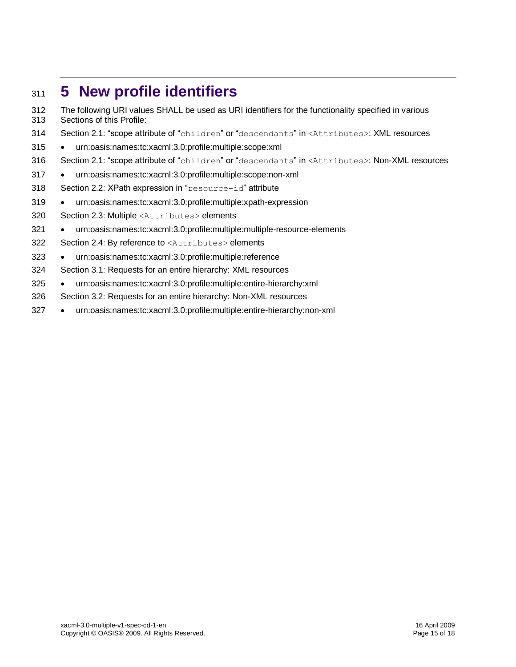# <span id="page-14-0"></span>**5 New profile identifiers**

 The following URI values SHALL be used as URI identifiers for the functionality specified in various Sections of this Profile:

- Section [2.1:](#page-7-1) "scope attribute of "children" or "descendants" in <Attributes>: XML resources
- urn:oasis:names:tc:xacml:3.0:profile:multiple:scope:xml
- Section [2.1:](#page-7-1) "scope attribute of "children" or "descendants" in <Attributes>: Non-XML resources
- urn:oasis:names:tc:xacml:3.0:profile:multiple:scope:non-xml
- Section [2.2:](#page-8-1) XPath expression in "resource-id" attribute
- urn:oasis:names:tc:xacml:3.0:profile:multiple:xpath-expression
- Section [2.3:](#page-9-0) Multiple <Attributes> elements
- 321 urn:oasis:names:tc:xacml:3.0:profile:multiple:multiple-resource-elements
- Section [2.4:](#page-9-4) By reference to <Attributes> elements
- urn:oasis:names:tc:xacml:3.0:profile:multiple:reference
- Section [3.1:](#page-11-1) Requests for an entire hierarchy: XML resources
- urn:oasis:names:tc:xacml:3.0:profile:multiple:entire-hierarchy:xml
- Section [3.2:](#page-12-0) Requests for an entire hierarchy: Non-XML resources
- urn:oasis:names:tc:xacml:3.0:profile:multiple:entire-hierarchy:non-xml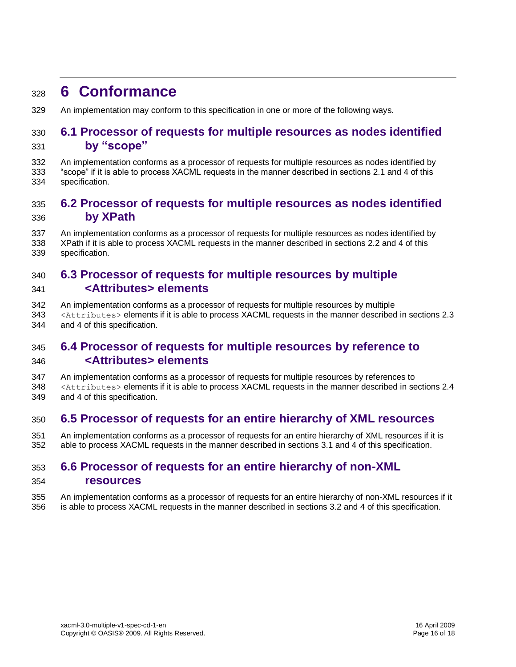# <span id="page-15-0"></span>**6 Conformance**

An implementation may conform to this specification in one or more of the following ways.

#### <span id="page-15-1"></span> **6.1 Processor of requests for multiple resources as nodes identified by "scope"**

 An implementation conforms as a processor of requests for multiple resources as nodes identified by "scope" if it is able to process XACML requests in the manner described in section[s 2.1](#page-7-1) and [4](#page-13-0) of this specification.

### <span id="page-15-2"></span> **6.2 Processor of requests for multiple resources as nodes identified by XPath**

 An implementation conforms as a processor of requests for multiple resources as nodes identified by XPath if it is able to process XACML requests in the manner described in sections [2.2](#page-8-1) and [4](#page-13-0) of this specification.

### <span id="page-15-3"></span> **6.3 Processor of requests for multiple resources by multiple <Attributes> elements**

- An implementation conforms as a processor of requests for multiple resources by multiple
- <Attributes> elements if it is able to process XACML requests in the manner described in sections [2.3](#page-9-0) and [4](#page-13-0) of this specification.

## <span id="page-15-4"></span> **6.4 Processor of requests for multiple resources by reference to <Attributes> elements**

 An implementation conforms as a processor of requests for multiple resources by references to <Attributes> elements if it is able to process XACML requests in the manner described in section[s 2.4](#page-9-4) and [4](#page-13-0) of this specification.

#### <span id="page-15-5"></span>**6.5 Processor of requests for an entire hierarchy of XML resources**

 An implementation conforms as a processor of requests for an entire hierarchy of XML resources if it is able to process XACML requests in the manner described in sections [3.1](#page-11-1) and [4](#page-13-0) of this specification.

### <span id="page-15-6"></span> **6.6 Processor of requests for an entire hierarchy of non-XML resources**

 An implementation conforms as a processor of requests for an entire hierarchy of non-XML resources if it is able to process XACML requests in the manner described in sections [3.2](#page-12-0) and [4](#page-13-0) of this specification.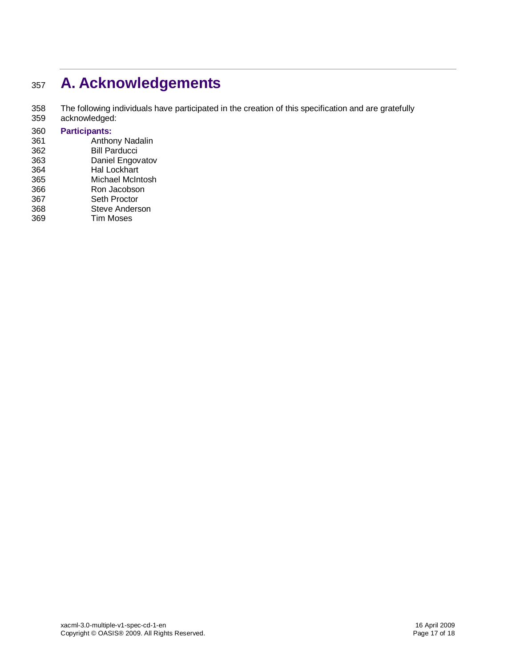# <span id="page-16-0"></span><sup>357</sup> **A. Acknowledgements**

358 The following individuals have participated in the creation of this specification and are gratefully

359 acknowledged:

#### 360 **Participants:**

- 361 Anthony Nadalin<br>362 Bill Parducci Bill Parducci
- 363 Daniel Engovatov
- 364 Hal Lockhart
- 365 Michael McIntosh
- 366 Ron Jacobson
- 367 Seth Proctor
- 368 Steve Anderson<br>369 Tim Moses
- **Tim Moses**